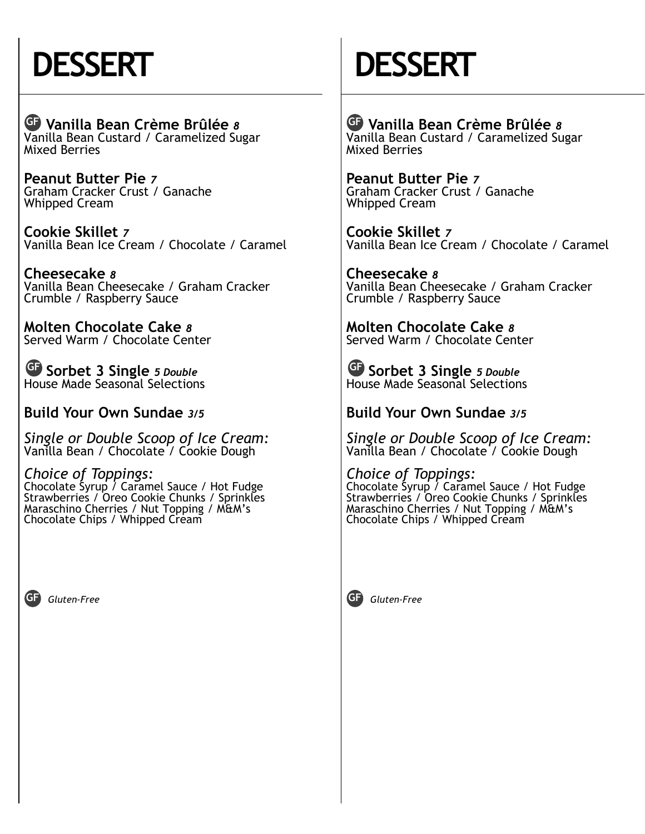## **DESSERT**

 **Vanilla Bean Crème Brûlée** *8* **GF** Vanilla Bean Custard / Caramelized Sugar Mixed Berries

**Peanut Butter Pie** *7* Graham Cracker Crust / Ganache Whipped Cream

**Cookie Skillet** *7* Vanilla Bean Ice Cream / Chocolate / Caramel

**Cheesecake** *8* Vanilla Bean Cheesecake / Graham Cracker Crumble / Raspberry Sauce

**Molten Chocolate Cake** *8* Served Warm / Chocolate Center

 **Sorbet 3 Single** *5 Double* House Made Seasonal Selections **GF**

**Build Your Own Sundae** *3/5*

*Single or Double Scoop of Ice Cream:* Vanilla Bean / Chocolate / Cookie Dough

*Choice of Toppings:* Chocolate Syrup / Caramel Sauce / Hot Fudge Strawberries / Oreo Cookie Chunks / Sprinkles Maraschino Cherries / Nut Topping / M&M's Chocolate Chips / Whipped Cream

**GF** *Gluten-Free*

# **DESSERT**

 **Vanilla Bean Crème Brûlée** *8* **GF**Vanilla Bean Custard / Caramelized Sugar Mixed Berries

**Peanut Butter Pie** *7* Graham Cracker Crust / Ganache Whipped Cream

**Cookie Skillet** *7* Vanilla Bean Ice Cream / Chocolate / Caramel

**Cheesecake** *8* Vanilla Bean Cheesecake / Graham Cracker Crumble / Raspberry Sauce

**Molten Chocolate Cake** *8* Served Warm / Chocolate Center

 **Sorbet 3 Single** *5 Double* House Made Seasonal Selections **GF**

**Build Your Own Sundae** *3/5*

*Single or Double Scoop of Ice Cream:* Vanilla Bean / Chocolate / Cookie Dough

*Choice of Toppings:* Chocolate Syrup / Caramel Sauce / Hot Fudge Strawberries / Oreo Cookie Chunks / Sprinkles Maraschino Cherries / Nut Topping / M&M's Chocolate Chips / Whipped Cream

**GF** *Gluten-Free*